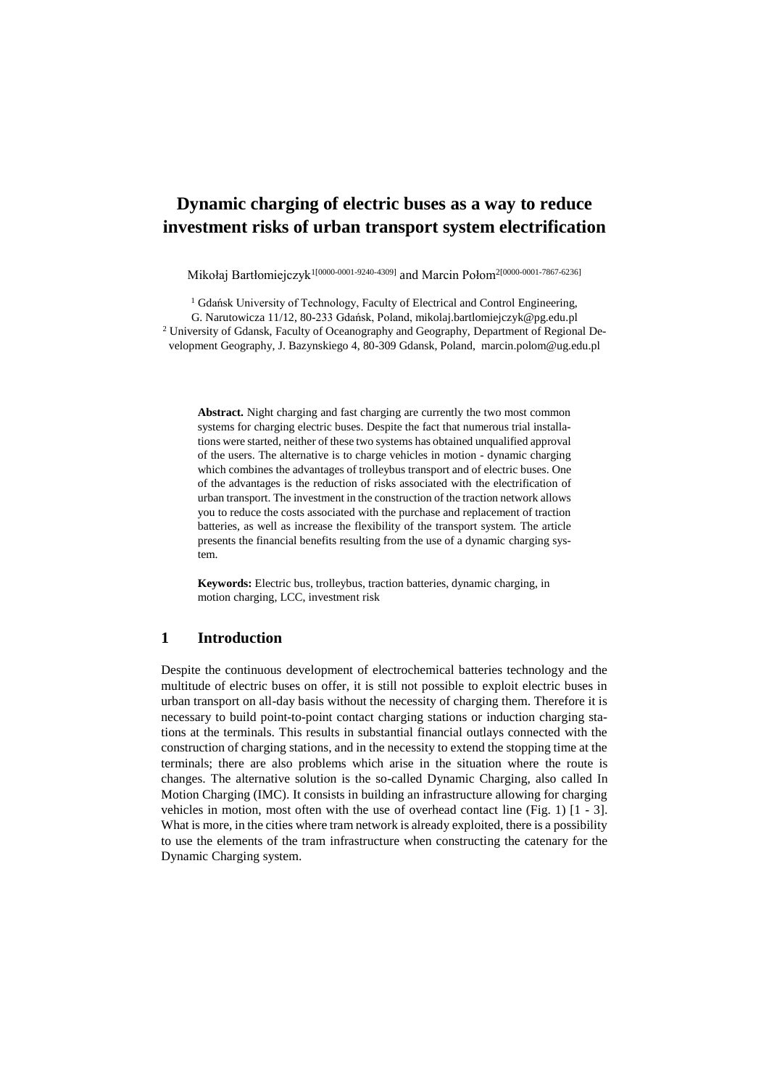# **Dynamic charging of electric buses as a way to reduce investment risks of urban transport system electrification**

Mikołaj Bartłomiejczyk<sup>1[0000-0001-9240-4309]</sup> and Marcin Połom<sup>2[0000-0001-7867-6236]</sup>

<sup>1</sup> Gdańsk University of Technology, Faculty of Electrical and Control Engineering, G. Narutowicza 11/12, 80-233 Gdańsk, Poland, mikolaj.bartlomiejczyk@pg.edu.pl <sup>2</sup> University of Gdansk, Faculty of Oceanography and Geography, Department of Regional Development Geography, J. Bazynskiego 4, 80-309 Gdansk, Poland, marcin.polom@ug.edu.pl

**Abstract.** Night charging and fast charging are currently the two most common systems for charging electric buses. Despite the fact that numerous trial installations were started, neither of these two systems has obtained unqualified approval of the users. The alternative is to charge vehicles in motion - dynamic charging which combines the advantages of trolleybus transport and of electric buses. One of the advantages is the reduction of risks associated with the electrification of urban transport. The investment in the construction of the traction network allows you to reduce the costs associated with the purchase and replacement of traction batteries, as well as increase the flexibility of the transport system. The article presents the financial benefits resulting from the use of a dynamic charging system.

**Keywords:** Electric bus, trolleybus, traction batteries, dynamic charging, in motion charging, LCC, investment risk

## **1 Introduction**

Despite the continuous development of electrochemical batteries technology and the multitude of electric buses on offer, it is still not possible to exploit electric buses in urban transport on all-day basis without the necessity of charging them. Therefore it is necessary to build point-to-point contact charging stations or induction charging stations at the terminals. This results in substantial financial outlays connected with the construction of charging stations, and in the necessity to extend the stopping time at the terminals; there are also problems which arise in the situation where the route is changes. The alternative solution is the so-called Dynamic Charging, also called In Motion Charging (IMC). It consists in building an infrastructure allowing for charging vehicles in motion, most often with the use of overhead contact line (Fig. 1) [1 - 3]. What is more, in the cities where tram network is already exploited, there is a possibility to use the elements of the tram infrastructure when constructing the catenary for the Dynamic Charging system.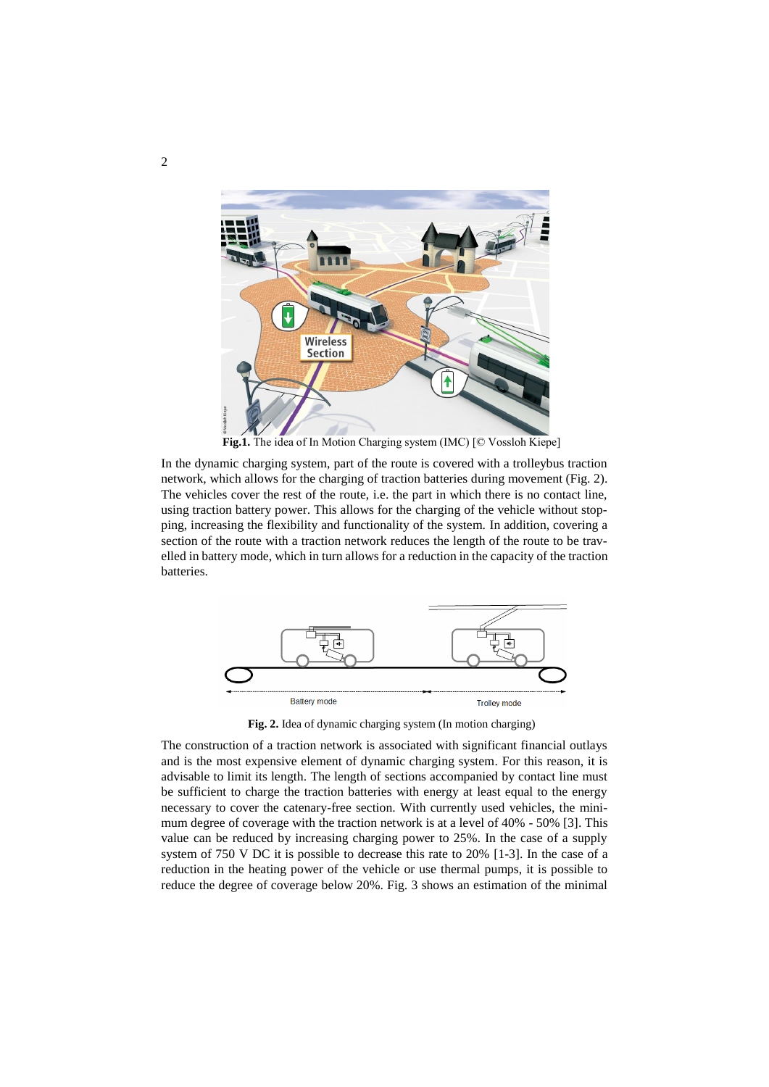

**Fig.1.** The idea of In Motion Charging system (IMC) [© Vossloh Kiepe]

In the dynamic charging system, part of the route is covered with a trolleybus traction network, which allows for the charging of traction batteries during movement (Fig. 2). The vehicles cover the rest of the route, i.e. the part in which there is no contact line, using traction battery power. This allows for the charging of the vehicle without stopping, increasing the flexibility and functionality of the system. In addition, covering a section of the route with a traction network reduces the length of the route to be travelled in battery mode, which in turn allows for a reduction in the capacity of the traction batteries.



**Fig. 2.** Idea of dynamic charging system (In motion charging)

The construction of a traction network is associated with significant financial outlays and is the most expensive element of dynamic charging system. For this reason, it is advisable to limit its length. The length of sections accompanied by contact line must be sufficient to charge the traction batteries with energy at least equal to the energy necessary to cover the catenary-free section. With currently used vehicles, the minimum degree of coverage with the traction network is at a level of 40% - 50% [3]. This value can be reduced by increasing charging power to 25%. In the case of a supply system of 750 V DC it is possible to decrease this rate to 20% [1-3]. In the case of a reduction in the heating power of the vehicle or use thermal pumps, it is possible to reduce the degree of coverage below 20%. Fig. 3 shows an estimation of the minimal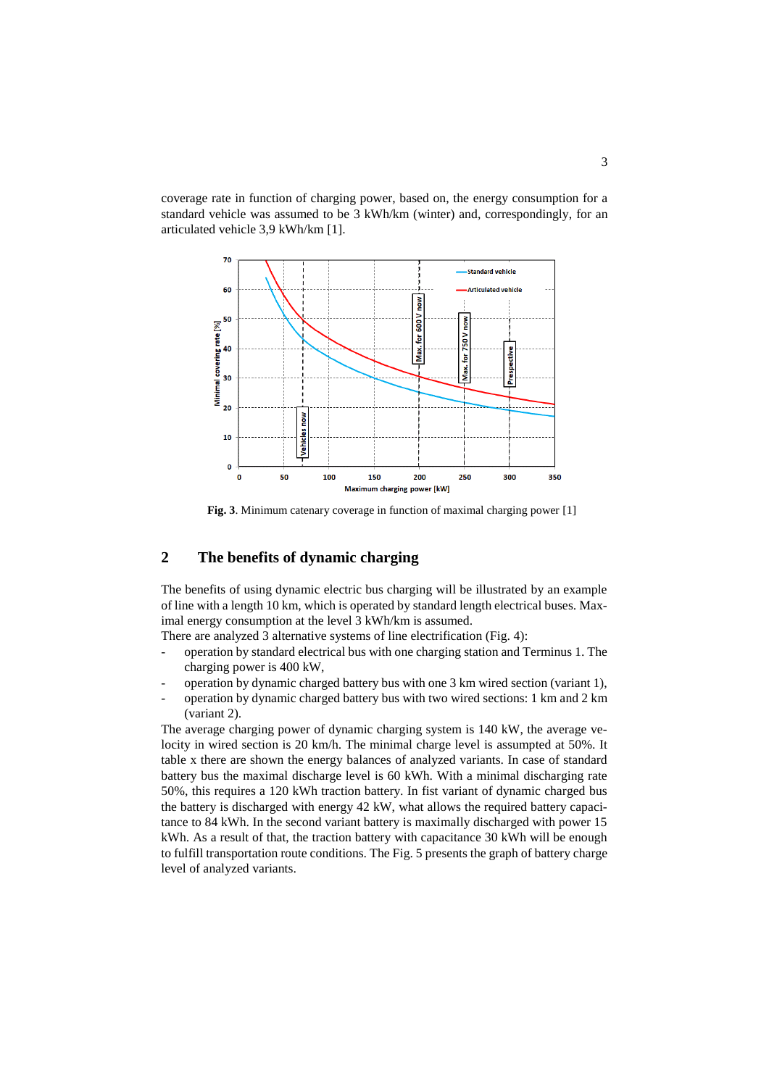coverage rate in function of charging power, based on, the energy consumption for a standard vehicle was assumed to be 3 kWh/km (winter) and, correspondingly, for an articulated vehicle 3,9 kWh/km [1].



**Fig. 3**. Minimum catenary coverage in function of maximal charging power [1]

## **2 The benefits of dynamic charging**

The benefits of using dynamic electric bus charging will be illustrated by an example of line with a length 10 km, which is operated by standard length electrical buses. Maximal energy consumption at the level 3 kWh/km is assumed.

There are analyzed 3 alternative systems of line electrification (Fig. 4):

- operation by standard electrical bus with one charging station and Terminus 1. The charging power is 400 kW,
- operation by dynamic charged battery bus with one 3 km wired section (variant 1),
- operation by dynamic charged battery bus with two wired sections: 1 km and 2 km (variant 2).

The average charging power of dynamic charging system is 140 kW, the average velocity in wired section is 20 km/h. The minimal charge level is assumpted at 50%. It table x there are shown the energy balances of analyzed variants. In case of standard battery bus the maximal discharge level is 60 kWh. With a minimal discharging rate 50%, this requires a 120 kWh traction battery. In fist variant of dynamic charged bus the battery is discharged with energy 42 kW, what allows the required battery capacitance to 84 kWh. In the second variant battery is maximally discharged with power 15 kWh. As a result of that, the traction battery with capacitance 30 kWh will be enough to fulfill transportation route conditions. The Fig. 5 presents the graph of battery charge level of analyzed variants.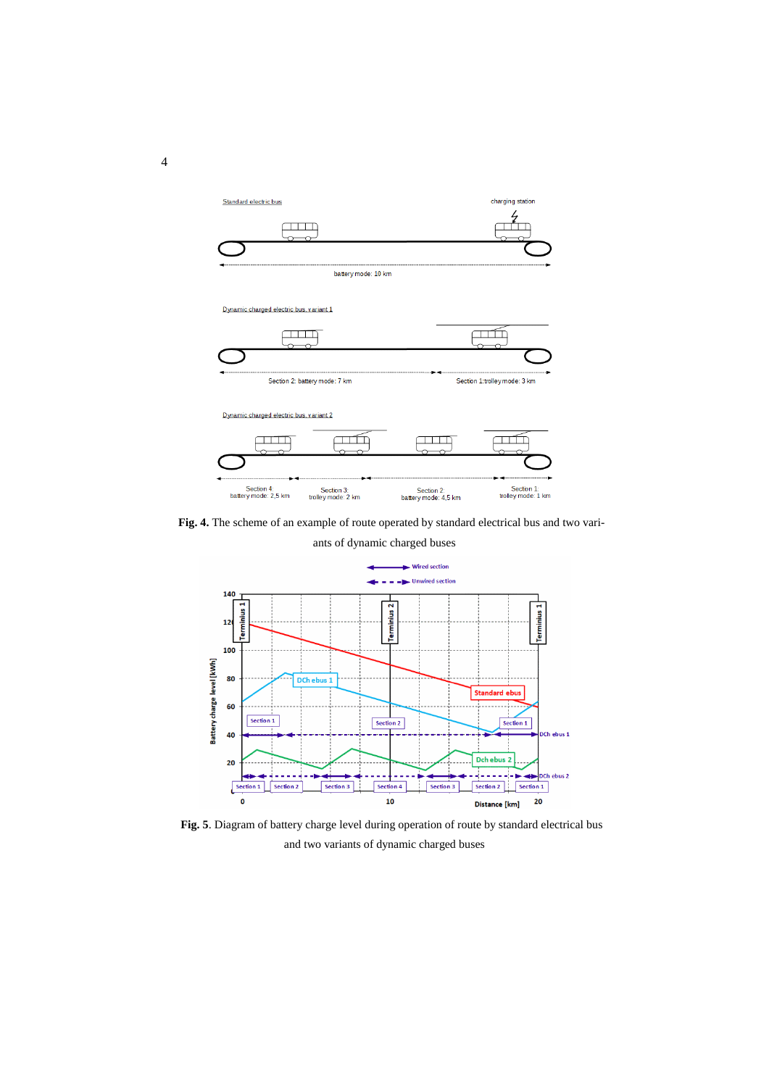

**Fig. 4.** The scheme of an example of route operated by standard electrical bus and two vari-

ants of dynamic charged buses



**Fig. 5**. Diagram of battery charge level during operation of route by standard electrical bus and two variants of dynamic charged buses

4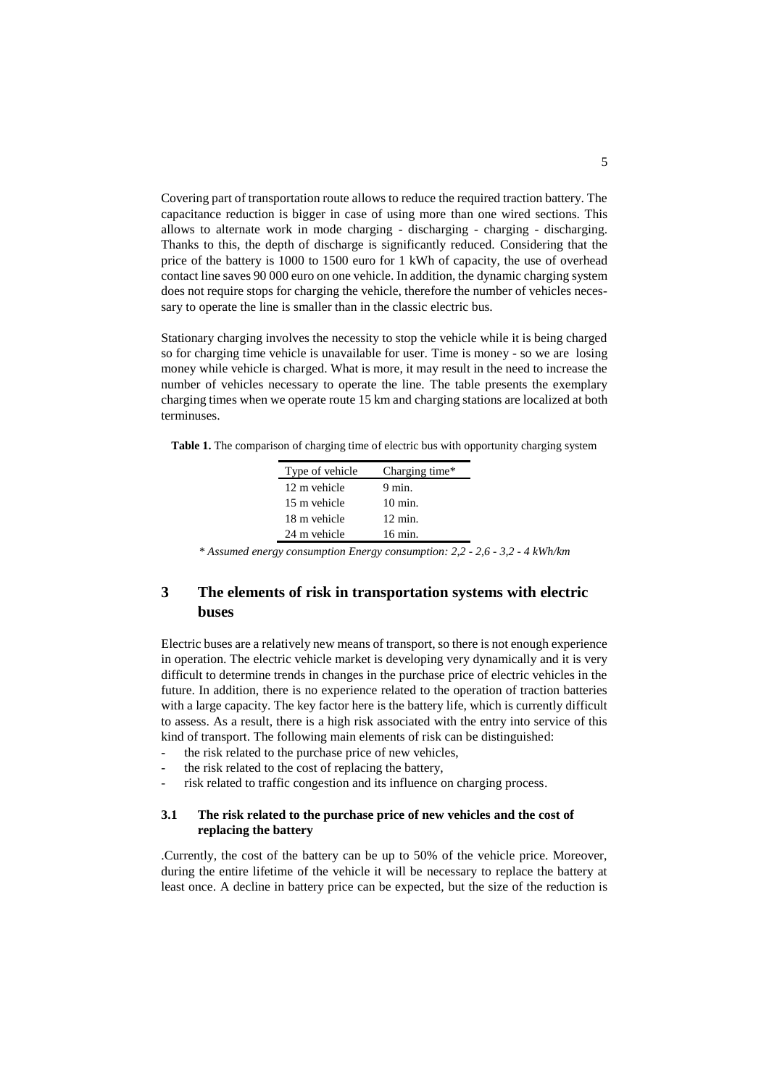Covering part of transportation route allows to reduce the required traction battery. The capacitance reduction is bigger in case of using more than one wired sections. This allows to alternate work in mode charging - discharging - charging - discharging. Thanks to this, the depth of discharge is significantly reduced. Considering that the price of the battery is 1000 to 1500 euro for 1 kWh of capacity, the use of overhead contact line saves 90 000 euro on one vehicle. In addition, the dynamic charging system does not require stops for charging the vehicle, therefore the number of vehicles necessary to operate the line is smaller than in the classic electric bus.

Stationary charging involves the necessity to stop the vehicle while it is being charged so for charging time vehicle is unavailable for user. Time is money - so we are losing money while vehicle is charged. What is more, it may result in the need to increase the number of vehicles necessary to operate the line. The table presents the exemplary charging times when we operate route 15 km and charging stations are localized at both terminuses.

**Table 1.** The comparison of charging time of electric bus with opportunity charging system

| Type of vehicle | Charging time*     |  |
|-----------------|--------------------|--|
| 12 m vehicle    | $9 \text{ min}$ .  |  |
| 15 m vehicle    | $10 \text{ min.}$  |  |
| 18 m vehicle    | $12 \text{ min}$ . |  |
| 24 m vehicle    | 16 min.            |  |

*\* Assumed energy consumption Energy consumption: 2,2 - 2,6 - 3,2 - 4 kWh/km*

## **3 The elements of risk in transportation systems with electric buses**

Electric buses are a relatively new means of transport, so there is not enough experience in operation. The electric vehicle market is developing very dynamically and it is very difficult to determine trends in changes in the purchase price of electric vehicles in the future. In addition, there is no experience related to the operation of traction batteries with a large capacity. The key factor here is the battery life, which is currently difficult to assess. As a result, there is a high risk associated with the entry into service of this kind of transport. The following main elements of risk can be distinguished:

- the risk related to the purchase price of new vehicles,
- the risk related to the cost of replacing the battery,
- risk related to traffic congestion and its influence on charging process.

#### **3.1 The risk related to the purchase price of new vehicles and the cost of replacing the battery**

.Currently, the cost of the battery can be up to 50% of the vehicle price. Moreover, during the entire lifetime of the vehicle it will be necessary to replace the battery at least once. A decline in battery price can be expected, but the size of the reduction is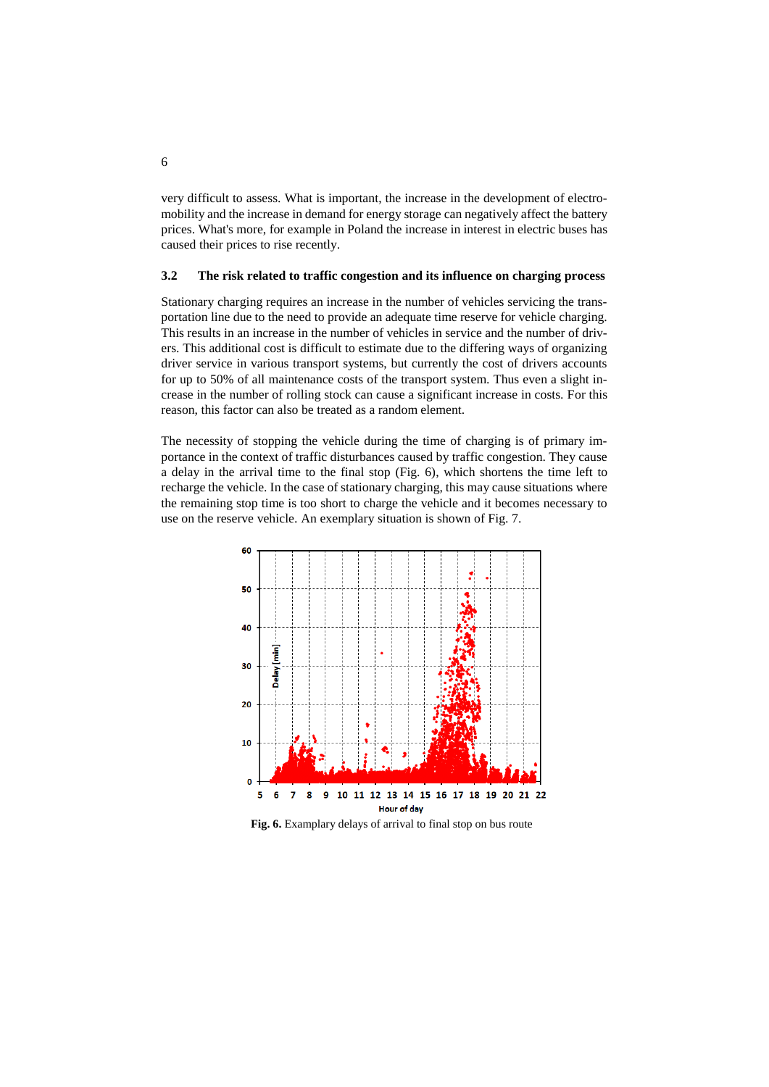very difficult to assess. What is important, the increase in the development of electromobility and the increase in demand for energy storage can negatively affect the battery prices. What's more, for example in Poland the increase in interest in electric buses has caused their prices to rise recently.

#### **3.2 The risk related to traffic congestion and its influence on charging process**

Stationary charging requires an increase in the number of vehicles servicing the transportation line due to the need to provide an adequate time reserve for vehicle charging. This results in an increase in the number of vehicles in service and the number of drivers. This additional cost is difficult to estimate due to the differing ways of organizing driver service in various transport systems, but currently the cost of drivers accounts for up to 50% of all maintenance costs of the transport system. Thus even a slight increase in the number of rolling stock can cause a significant increase in costs. For this reason, this factor can also be treated as a random element.

The necessity of stopping the vehicle during the time of charging is of primary importance in the context of traffic disturbances caused by traffic congestion. They cause a delay in the arrival time to the final stop (Fig. 6), which shortens the time left to recharge the vehicle. In the case of stationary charging, this may cause situations where the remaining stop time is too short to charge the vehicle and it becomes necessary to use on the reserve vehicle. An exemplary situation is shown of Fig. 7.



**Fig. 6.** Examplary delays of arrival to final stop on bus route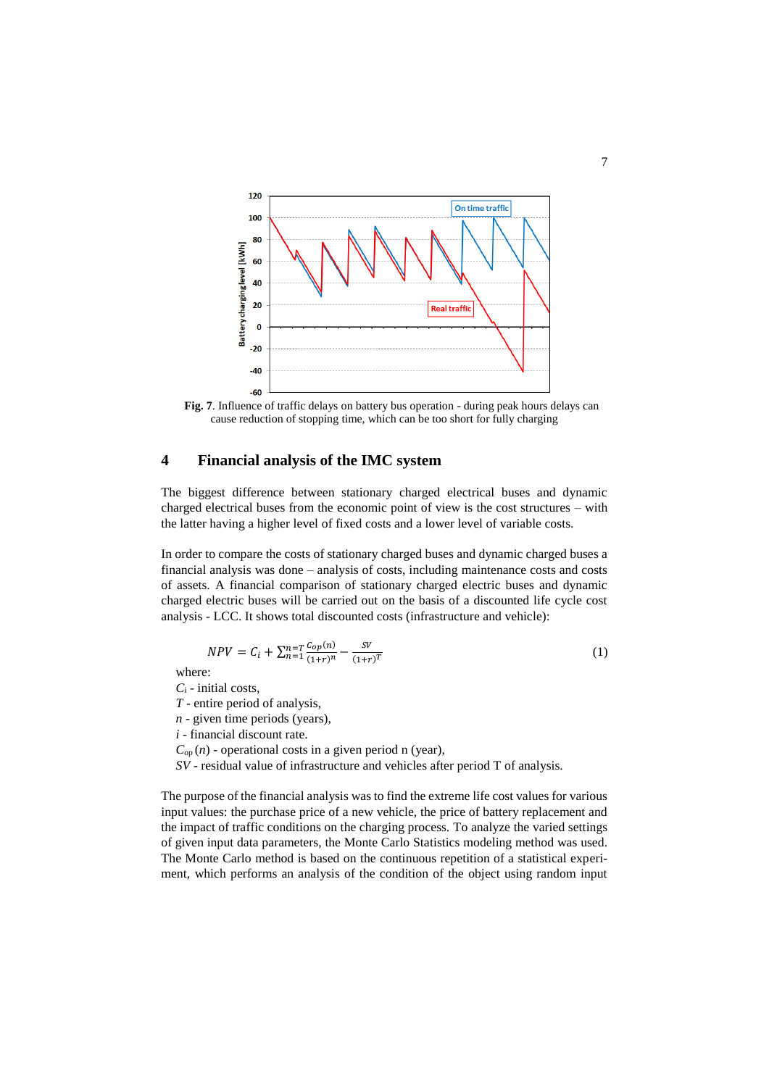

**Fig. 7**. Influence of traffic delays on battery bus operation - during peak hours delays can cause reduction of stopping time, which can be too short for fully charging

## **4 Financial analysis of the IMC system**

The biggest difference between stationary charged electrical buses and dynamic charged electrical buses from the economic point of view is the cost structures – with the latter having a higher level of fixed costs and a lower level of variable costs.

In order to compare the costs of stationary charged buses and dynamic charged buses a financial analysis was done – analysis of costs, including maintenance costs and costs of assets. A financial comparison of stationary charged electric buses and dynamic charged electric buses will be carried out on the basis of a discounted life cycle cost analysis - LCC. It shows total discounted costs (infrastructure and vehicle):

$$
NPV = C_i + \sum_{n=1}^{n=T} \frac{c_{op}(n)}{(1+r)^n} - \frac{SV}{(1+r)^T}
$$
 (1)

where:

*C*<sup>i</sup> - initial costs,

*T* - entire period of analysis,

*n* - given time periods (years),

*i* - financial discount rate.

 $C_{op}(n)$  - operational costs in a given period n (year),

*SV* - residual value of infrastructure and vehicles after period T of analysis.

The purpose of the financial analysis was to find the extreme life cost values for various input values: the purchase price of a new vehicle, the price of battery replacement and the impact of traffic conditions on the charging process. To analyze the varied settings of given input data parameters, the Monte Carlo Statistics modeling method was used. The Monte Carlo method is based on the continuous repetition of a statistical experiment, which performs an analysis of the condition of the object using random input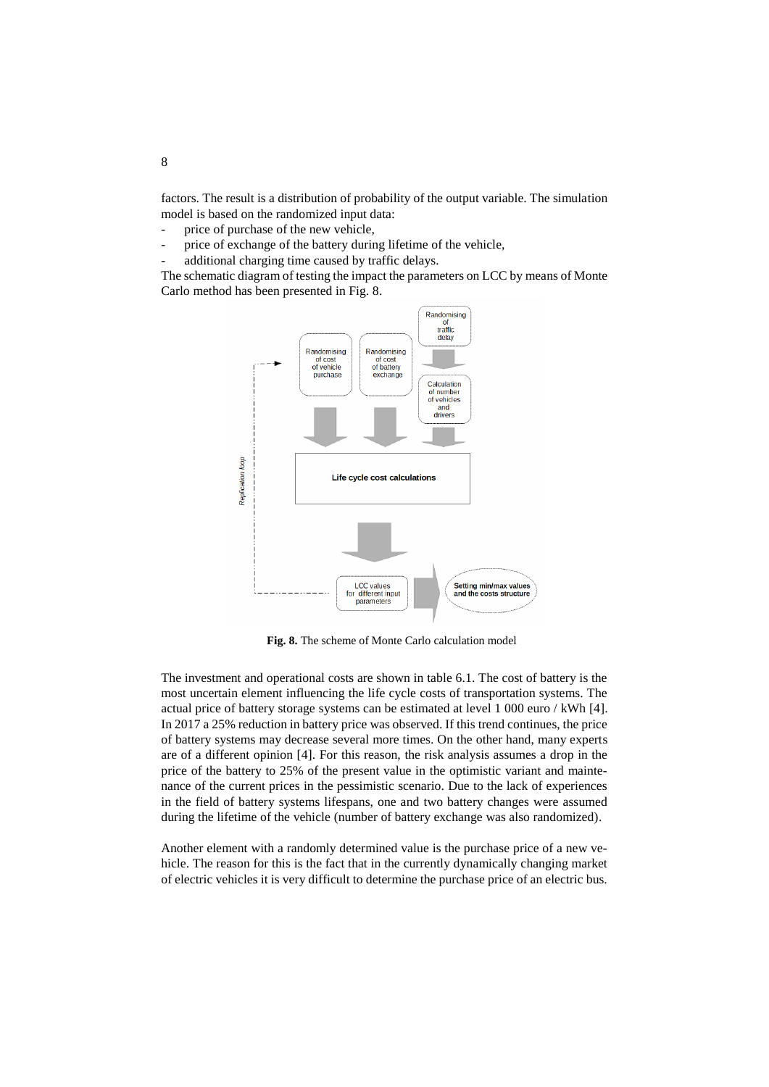factors. The result is a distribution of probability of the output variable. The simulation model is based on the randomized input data:

- price of purchase of the new vehicle,
- price of exchange of the battery during lifetime of the vehicle,
- additional charging time caused by traffic delays.

The schematic diagram of testing the impact the parameters on LCC by means of Monte Carlo method has been presented in Fig. 8.



**Fig. 8.** The scheme of Monte Carlo calculation model

The investment and operational costs are shown in table 6.1. The cost of battery is the most uncertain element influencing the life cycle costs of transportation systems. The actual price of battery storage systems can be estimated at level 1 000 euro / kWh [4]. In 2017 a 25% reduction in battery price was observed. If this trend continues, the price of battery systems may decrease several more times. On the other hand, many experts are of a different opinion [4]. For this reason, the risk analysis assumes a drop in the price of the battery to 25% of the present value in the optimistic variant and maintenance of the current prices in the pessimistic scenario. Due to the lack of experiences in the field of battery systems lifespans, one and two battery changes were assumed during the lifetime of the vehicle (number of battery exchange was also randomized).

Another element with a randomly determined value is the purchase price of a new vehicle. The reason for this is the fact that in the currently dynamically changing market of electric vehicles it is very difficult to determine the purchase price of an electric bus.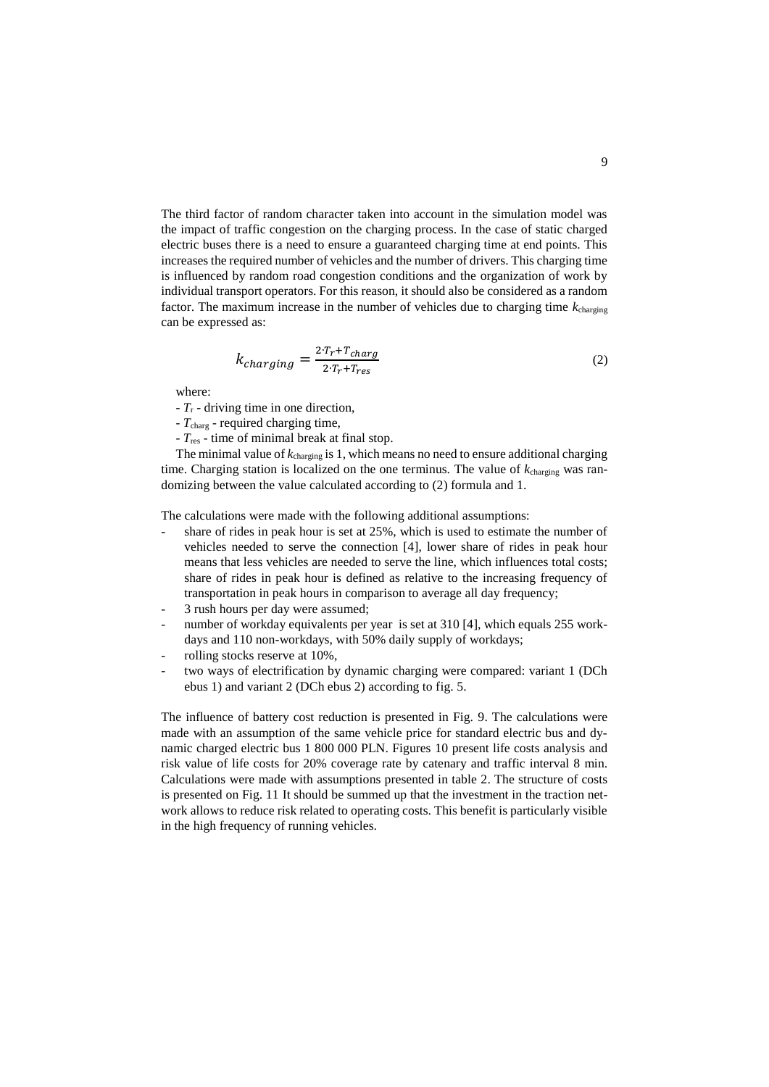The third factor of random character taken into account in the simulation model was the impact of traffic congestion on the charging process. In the case of static charged electric buses there is a need to ensure a guaranteed charging time at end points. This increases the required number of vehicles and the number of drivers. This charging time is influenced by random road congestion conditions and the organization of work by individual transport operators. For this reason, it should also be considered as a random factor. The maximum increase in the number of vehicles due to charging time *k*charging can be expressed as:

$$
k_{charging} = \frac{2 \cdot T_r + T_{charge}}{2 \cdot T_r + T_{res}}\tag{2}
$$

where:

- *T*<sup>r</sup> driving time in one direction,
- *T*charg required charging time,
- *T*res time of minimal break at final stop.

The minimal value of *k*charging is 1, which means no need to ensure additional charging time. Charging station is localized on the one terminus. The value of *k*charging was randomizing between the value calculated according to (2) formula and 1.

The calculations were made with the following additional assumptions:

- share of rides in peak hour is set at  $25\%$ , which is used to estimate the number of vehicles needed to serve the connection [4], lower share of rides in peak hour means that less vehicles are needed to serve the line, which influences total costs; share of rides in peak hour is defined as relative to the increasing frequency of transportation in peak hours in comparison to average all day frequency;
- 3 rush hours per day were assumed:
- number of workday equivalents per year is set at 310 [4], which equals 255 workdays and 110 non-workdays, with 50% daily supply of workdays;
- rolling stocks reserve at 10%,
- two ways of electrification by dynamic charging were compared: variant 1 (DCh ebus 1) and variant 2 (DCh ebus 2) according to fig. 5.

The influence of battery cost reduction is presented in Fig. 9. The calculations were made with an assumption of the same vehicle price for standard electric bus and dynamic charged electric bus 1 800 000 PLN. Figures 10 present life costs analysis and risk value of life costs for 20% coverage rate by catenary and traffic interval 8 min. Calculations were made with assumptions presented in table 2. The structure of costs is presented on Fig. 11 It should be summed up that the investment in the traction network allows to reduce risk related to operating costs. This benefit is particularly visible in the high frequency of running vehicles.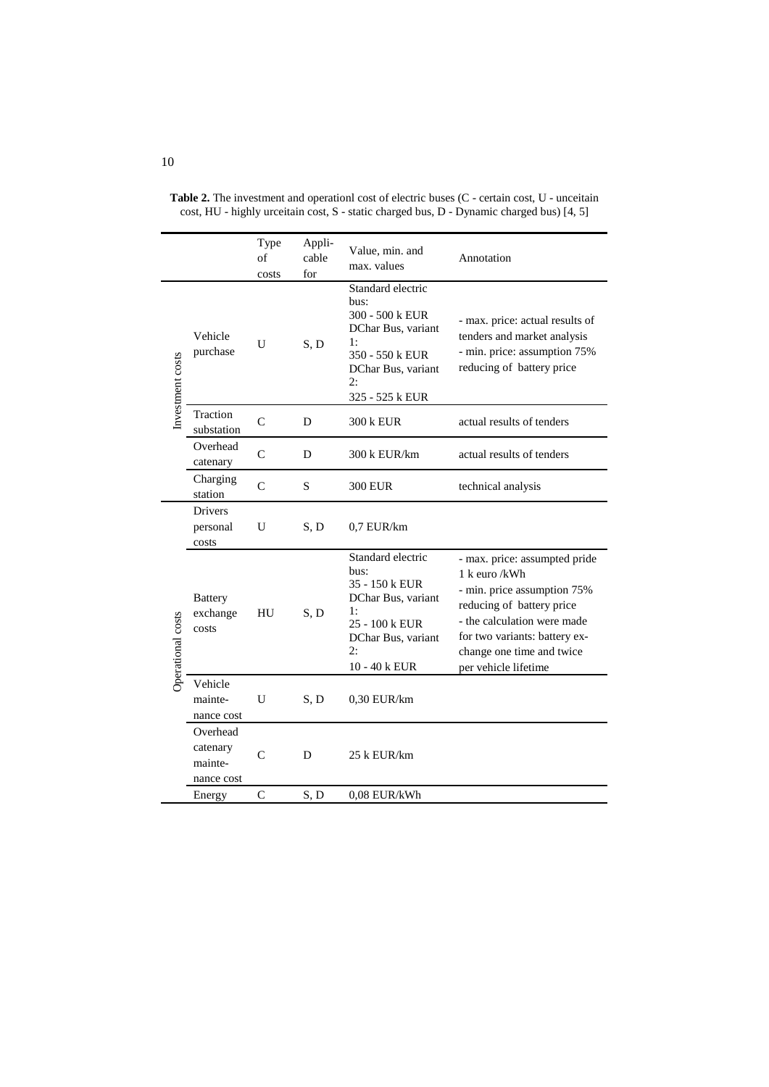|                   |                                               | Type<br>of<br>costs | Appli-<br>cable<br>for | Value, min. and<br>max. values                                                                                                             | Annotation                                                                                                                                                                                                                      |
|-------------------|-----------------------------------------------|---------------------|------------------------|--------------------------------------------------------------------------------------------------------------------------------------------|---------------------------------------------------------------------------------------------------------------------------------------------------------------------------------------------------------------------------------|
| Investment costs  | Vehicle<br>purchase                           | U                   | S, D                   | Standard electric<br>bus:<br>300 - 500 k EUR<br>DChar Bus, variant<br>1:<br>350 - 550 k EUR<br>DChar Bus, variant<br>2:<br>325 - 525 k EUR | - max. price: actual results of<br>tenders and market analysis<br>- min. price: assumption 75%<br>reducing of battery price                                                                                                     |
|                   | Traction<br>substation                        | $\mathcal{C}$       | D                      | 300 k EUR                                                                                                                                  | actual results of tenders                                                                                                                                                                                                       |
|                   | Overhead<br>catenary                          | $\mathsf{C}$        | D                      | 300 k EUR/km                                                                                                                               | actual results of tenders                                                                                                                                                                                                       |
|                   | Charging<br>station                           | $\mathcal{C}$       | S                      | <b>300 EUR</b>                                                                                                                             | technical analysis                                                                                                                                                                                                              |
| Operational costs | <b>Drivers</b><br>personal<br>costs           | U                   | S, D                   | $0.7$ EUR/km                                                                                                                               |                                                                                                                                                                                                                                 |
|                   | <b>Battery</b><br>exchange<br>costs           | HU                  | S, D                   | Standard electric<br>bus:<br>35 - 150 k EUR<br>DChar Bus, variant<br>1:<br>25 - 100 k EUR<br>DChar Bus, variant<br>2:<br>10 - 40 k EUR     | - max. price: assumpted pride<br>1 k euro /kWh<br>- min. price assumption 75%<br>reducing of battery price<br>- the calculation were made<br>for two variants: battery ex-<br>change one time and twice<br>per vehicle lifetime |
|                   | Vehicle<br>mainte-<br>nance cost              | U                   | S.D                    | 0,30 EUR/km                                                                                                                                |                                                                                                                                                                                                                                 |
|                   | Overhead<br>catenary<br>mainte-<br>nance cost | $\mathcal{C}$       | D                      | 25 k EUR/km                                                                                                                                |                                                                                                                                                                                                                                 |
|                   | Energy                                        | $\mathsf{C}$        | S.D                    | 0.08 EUR/kWh                                                                                                                               |                                                                                                                                                                                                                                 |

Table 2. The investment and operationl cost of electric buses (C - certain cost, U - unceitain cost, HU - highly urceitain cost, S - static charged bus, D - Dynamic charged bus) [4, 5]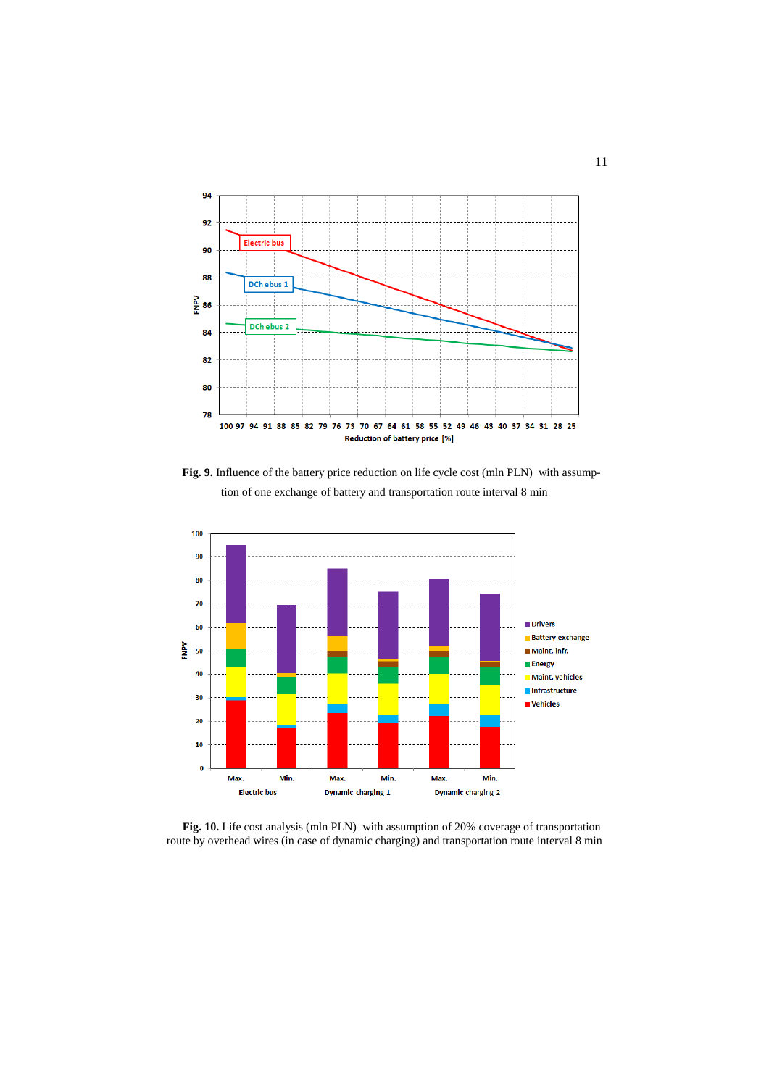

Fig. 9. Influence of the battery price reduction on life cycle cost (mln PLN) with assumption of one exchange of battery and transportation route interval 8 min



**Fig. 10.** Life cost analysis (mln PLN) with assumption of 20% coverage of transportation route by overhead wires (in case of dynamic charging) and transportation route interval 8 min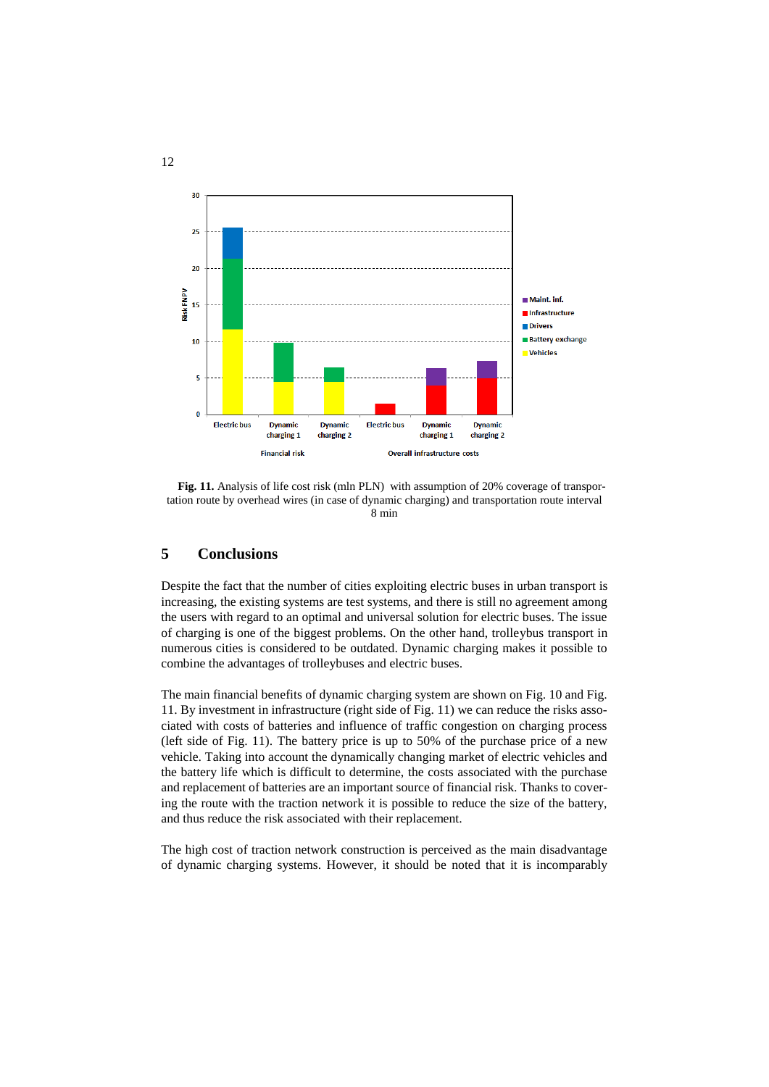

Fig. 11. Analysis of life cost risk (mln PLN) with assumption of 20% coverage of transportation route by overhead wires (in case of dynamic charging) and transportation route interval 8 min

### **5 Conclusions**

Despite the fact that the number of cities exploiting electric buses in urban transport is increasing, the existing systems are test systems, and there is still no agreement among the users with regard to an optimal and universal solution for electric buses. The issue of charging is one of the biggest problems. On the other hand, trolleybus transport in numerous cities is considered to be outdated. Dynamic charging makes it possible to combine the advantages of trolleybuses and electric buses.

The main financial benefits of dynamic charging system are shown on Fig. 10 and Fig. 11. By investment in infrastructure (right side of Fig. 11) we can reduce the risks associated with costs of batteries and influence of traffic congestion on charging process (left side of Fig. 11). The battery price is up to 50% of the purchase price of a new vehicle. Taking into account the dynamically changing market of electric vehicles and the battery life which is difficult to determine, the costs associated with the purchase and replacement of batteries are an important source of financial risk. Thanks to covering the route with the traction network it is possible to reduce the size of the battery, and thus reduce the risk associated with their replacement.

The high cost of traction network construction is perceived as the main disadvantage of dynamic charging systems. However, it should be noted that it is incomparably